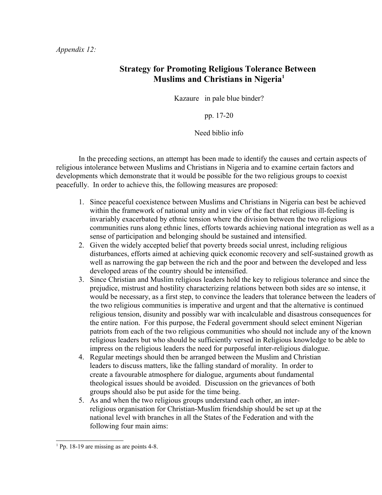## **Strategy for Promoting Religious Tolerance Between Muslims and Christians in Nigeria[1](#page-0-0)**

Kazaure in pale blue binder?

pp. 17-20

Need biblio info

In the preceding sections, an attempt has been made to identify the causes and certain aspects of religious intolerance between Muslims and Christians in Nigeria and to examine certain factors and developments which demonstrate that it would be possible for the two religious groups to coexist peacefully. In order to achieve this, the following measures are proposed:

- 1. Since peaceful coexistence between Muslims and Christians in Nigeria can best be achieved within the framework of national unity and in view of the fact that religious ill-feeling is invariably exacerbated by ethnic tension where the division between the two religious communities runs along ethnic lines, efforts towards achieving national integration as well as a sense of participation and belonging should be sustained and intensified.
- 2. Given the widely accepted belief that poverty breeds social unrest, including religious disturbances, efforts aimed at achieving quick economic recovery and self-sustained growth as well as narrowing the gap between the rich and the poor and between the developed and less developed areas of the country should be intensified.
- 3. Since Christian and Muslim religious leaders hold the key to religious tolerance and since the prejudice, mistrust and hostility characterizing relations between both sides are so intense, it would be necessary, as a first step, to convince the leaders that tolerance between the leaders of the two religious communities is imperative and urgent and that the alternative is continued religious tension, disunity and possibly war with incalculable and disastrous consequences for the entire nation. For this purpose, the Federal government should select eminent Nigerian patriots from each of the two religious communities who should not include any of the known religious leaders but who should be sufficiently versed in Religious knowledge to be able to impress on the religious leaders the need for purposeful inter-religious dialogue.
- 4. Regular meetings should then be arranged between the Muslim and Christian leaders to discuss matters, like the falling standard of morality. In order to create a favourable atmosphere for dialogue, arguments about fundamental theological issues should be avoided. Discussion on the grievances of both groups should also be put aside for the time being.
- 5. As and when the two religious groups understand each other, an interreligious organisation for Christian-Muslim friendship should be set up at the national level with branches in all the States of the Federation and with the following four main aims:

<span id="page-0-0"></span><sup>&</sup>lt;sup>1</sup> Pp. 18-19 are missing as are points 4-8.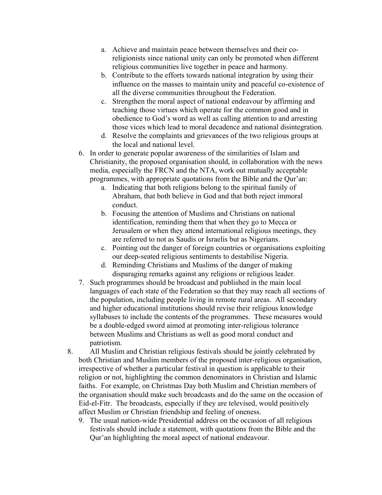- a. Achieve and maintain peace between themselves and their coreligionists since national unity can only be promoted when different religious communities live together in peace and harmony.
- b. Contribute to the efforts towards national integration by using their influence on the masses to maintain unity and peaceful co-existence of all the diverse communities throughout the Federation.
- c. Strengthen the moral aspect of national endeavour by affirming and teaching those virtues which operate for the common good and in obedience to God's word as well as calling attention to and arresting those vices which lead to moral decadence and national disintegration.
- d. Resolve the complaints and grievances of the two religious groups at the local and national level.
- 6. In order to generate popular awareness of the similarities of Islam and Christianity, the proposed organisation should, in collaboration with the news media, especially the FRCN and the NTA, work out mutually acceptable programmes, with appropriate quotations from the Bible and the Qur'an:
	- a. Indicating that both religions belong to the spiritual family of Abraham, that both believe in God and that both reject immoral conduct.
	- b. Focusing the attention of Muslims and Christians on national identification, reminding them that when they go to Mecca or Jerusalem or when they attend international religious meetings, they are referred to not as Saudis or Israelis but as Nigerians.
	- c. Pointing out the danger of foreign countries or organisations exploiting our deep-seated religious sentiments to destabilise Nigeria.
	- d. Reminding Christians and Muslims of the danger of making disparaging remarks against any religions or religious leader.
- 7. Such programmes should be broadcast and published in the main local languages of each state of the Federation so that they may reach all sections of the population, including people living in remote rural areas. All secondary and higher educational institutions should revise their religious knowledge syllabuses to include the contents of the programmes. These measures would be a double-edged sword aimed at promoting inter-religious tolerance between Muslims and Christians as well as good moral conduct and patriotism.
- 8. All Muslim and Christian religious festivals should be jointly celebrated by both Christian and Muslim members of the proposed inter-religious organisation, irrespective of whether a particular festival in question is applicable to their religion or not, highlighting the common denominators in Christian and Islamic faiths. For example, on Christmas Day both Muslim and Christian members of the organisation should make such broadcasts and do the same on the occasion of Eid-el-Fitr. The broadcasts, especially if they are televised, would positively affect Muslim or Christian friendship and feeling of oneness.
	- 9. The usual nation-wide Presidential address on the occasion of all religious festivals should include a statement, with quotations from the Bible and the Qur'an highlighting the moral aspect of national endeavour.